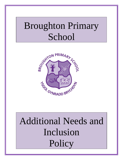# Broughton Primary School



# Additional Needs and Inclusion **Policy**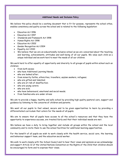# **Additional Needs and Inclusion Policy**

We believe this policy should be a working document that is fit for purpose, represents the school ethos, enables consistency and quality across the school and is related to the following legislation:

- Education Act 1996
- Education Act 1997
- Standards and Framework Act 1998
- Human Rights Act 1998
- Education Act 2002
- Gender Recognition Act 2004
- Equality Act 2010
- We believe that we are an educationally inclusive school as we are concerned about the teaching and learning, achievements, attitudes and well-being of all our pupils. We value each child as a unique individual and we work hard to meet the needs of all our children.

We work hard to offer equality of opportunity and diversity to all groups of pupils within school such as children:

- from both sexes:
- who have Additional Learning Needs;
- who are looked after;
- from minority faiths, ethnicities, travellers, asylum seekers, refugees;
- who are gifted and talented;
- who are at risk of disaffection;
- who are young carers;
- who are sick;
- who have behavioural, emotional and social needs;
- from families who are under stress

We aim to provide a happy, healthy and safe school by providing high quality pastoral care, support and guidance by listening to the concerns of children and parents.

We want all our pupils to feel valued, secure and to be given opportunities to learn by providing a differentiated curriculum that caters for the needs of all pupils.

We aim to ensure that all pupils have access to all the school's resources and that they have the opportunity to experience success, are treated fairly and that their individual needs are met.

We believe we have a duty to bring together and include all groups within the school and the local community and to invite them to use the school facilities for additional learning opportunities.

For the benefit of all pupils we wish to work closely with the health service, social care, the learning and behaviour support team, and the education social worker.

We wish to work closely with the School Council and to hear their views and opinions as we acknowledge and support Article 12 of the United Nations Convention on the Rights of the Child that children should be encouraged to form and to express their views.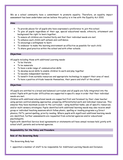We as a school community have a commitment to promote equality. Therefore, an equality impact assessment has been undertaken and we believe this policy is in line with the Equality Act 2010.

#### **Aims**

- To provide places for all pupils who have expressed a preference to join this school.
- To give all pupils regardless of their age, special educational needs, ethnicity, attainment and background the right to learn together.
- To ensure all children are treated fairly and that their individual needs are met.
- To enhance each child's self-esteem and confidence.
- To encourage a willingness to learn
- To endeavor to make the learning environment as effective as possible for each child.
- To share good practice within the school and with other schools.

#### **Objectives**

All pupils including those with additional Learning needs:

- To be literate
- To be numerate
- To have a wide range of communication skills
- To develop social skills to enable children to work and play together
- To become independent learners
- To benefit from suitable resources and appropriate technology to support their area of need.
- To have a positive attitude towards themselves, their peers and staff at the school.

#### **Objectives**

All pupils are entitled to a broad and balanced curriculum and all pupils are fully integrated into the school. Pupils with particular difficulties are supported in specific ways in order that their individual needs are met.

Children with additional educational needs are supported first and foremost by their class teacher using person-centred planning approaches, preparing differentiated work and individual resources. This ensures they have maximum access to the curriculum – using modified tasks, use of specific resources, and/or multi-sensory strategies. Pupils identified with additional learning needs may also receive small group or individual teaching sessions which follow phonic, spelling or reading programs e.g Direct phonics, PAT's, paired spelling, priority reading. Where pupils with significant additional learning needs are identified, further assessments are requested from external agencies and/or educational psychologists.

Pupils with identified Service level agreements or statements will have annual reviews held jointly with school staff, parents and external agencies.

# **Responsibility for the Policy and Procedure**

#### **Role of the Governing Body**

The Governing Body has:

appointed a member of staff to be responsible for Additional Learning Needs and Inclusion;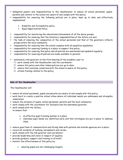- delegated powers and responsibilities to the Headteacher to ensure all school personnel, pupils, parents and visitors to the school are aware of and comply with this policy;
- responsibility for ensuring the following policies are in place, kept up to date and effectively implemented:
	- Disability and Accessibility policy
	- Equal Opportunities Policy
- responsibility for monitoring the educational achievement of all the above groups;
- responsibility for ensuring that the statutory responsibilities of the ALNco are met;
- the task of ensuring the composition of the school personnel and that of the governors reflects groups within the local community;
- responsibility for ensuring that the school complies with all equalities legislation;
- responsibility for ensuring funding is in place to support this policy;
- responsibility for ensuring this policy and all policies are maintained and updated regularly;
- responsibility for ensuring all policies are made available to parents;
- nominated a link governor on the first meeting of the academic year to:
	- $\Box$  work closely with the Headteacher and the coordinator;
	- $\Box$  ensure this policy and other linked policies are up to date;
	- $\Box$  ensure that everyone connected with the school is aware of this policy;
	- $\Box$  attend training related to this policy;

# **Role of the Headteacher**

The Headteacher will:

- ensure all school personnel, pupils and parents are aware of and comply with this policy;
- work hard to create a positive school ethos where all individual needs are addressed and strengths celebrated;
- ensure the inclusion of pupils, school personnel, parents and the local community;
- work closely with the coordinator for Inclusion and the nominated governor;
- work closely with the ALNco; to ensure that:
	- an effective pupil tracking system is in place
	- individual pupil needs are identified early and that strategies are put in place to address them
- ensure good lines of communication and strong links with parents and outside agencies are in place;
- record all incidents of bullying, harassment and racism;
- work closely with the link governor and coordinator;
- provide leadership and vision in respect of equality;
- provide guidance, support and training to all staff;
- monitor the effectiveness of this policy by:
	- ensuring pupils are set challenging targets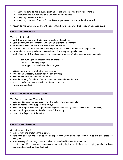- analysing data to see if pupils from all groups are achieving their full potential
- examining the number of pupils who have been excluded
- analysing attendance data
- analysing numbers of pupils from different groups who are gifted and talented
- **Providently Figure 3** Report to the Success and development of this policy on an annual basis.

#### **Role of the Coordinator**

The coordinator will:

- **Example 1** lead the development of this policy throughout the school;
- work closely with the Headteacher and the nominated Governor;
- co-ordinate provision for pupils with additional needs.
- Maintain the school's additional needs register and oversee the review of pupil's IEP's.
- Liaise with parents, pupils and external agencies to support pupils' needs.
- work closely with the class teacher to track pupil progress of all groups by ensuring pupils:
	- are making the expected level of progress
	- are set challenging targets
	- are supported to achieve their targets
- assess the level of English of all new arrivals;
- provide the necessary support for all new arrivals;
- **Provide guidance and support to all staff;**
- provide training for all staff on induction and when the need arises;
- **EXECT** to date with new developments and resources;
- **Perical monitor:**

#### **Role of the Senior Leadership Team**

The Senior Leadership Team will:

- consider Inclusion being a priority of the school's development plan;
- provide resources to support this policy;
- monitor the performance of pupils by analysing data and by discussion with class teachers;
- monitor the progress and development of this policy;
- assess the impact of this policy.

# **Role of School Personnel**

School personnel will:

- comply with and implement this policy;
- take into account the abilities of all pupils with work being differentiated to fit the needs of everyone;
- use a variety of teaching styles to deliver a broad and balanced curriculum;
- create a positive classroom environment by having high expectations, encouraging pupils, involving pupils, and respecting their feelings;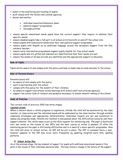- assist in the monitoring and tracking of pupils;
- work closely with the ALNco and outside agencies;
- devise and monitor:
	- individual education/behaviour plans
	- pastoral support programmes
	- one page profiles
- ensure special educational needs pupils have the correct support they require to address their specific needs;
- ensure disabled pupils take a full part in all school activities both on and off the school site;
- ensure pupils with behavioural needs have their own pastoral support programme;
- ensure pupils with English as an additional language access the necessary support from the EAL advisory teacher;
- ensure early intervention programmes support pupils eligible for free school meals;
- ensure pupils who are gifted and talented are identified and that their needs are met;
- ensure the needs of all new arrivals are identified and the appropriate support is allocated.

#### **Role of Pupils**

Pupils will be aware of and comply with this policy and help to make new arrivals welcome to the school.

# **Role of Parents/Carers**

Parents/carers will:

- **be aware of and comply with this policy;**
- work in partnership with the school;
- comply with this policy for the benefit of their children;
- be asked to support and attend review meetings with school staff and external agencies;
- support the school Code of Conduct and guidance necessary to ensure smooth running of the school.

#### **Code of Practice**

The current code of practice 2002 has three stages:

#### **1)school action**

When a concern about a child's progress is registered, initially the child will be monitored by the class teacher, at class action and the individual needs will be addressed by the class teacher through suitable classroom strategies and appropriate differentiation. Individual targets are set and monitored to assess any progress made. Parents are involved in discussions about the difficulties/concerns and their support enlisted. The child's name is put on the ALN register for monitoring only. The pupil is monitored over two terms or the review of two IEP's and the next course of action is planned. If after the monitoring period the pupil is still having difficulties and is in need of a more specific programme, then the child will move to School Action. An IEP will be put in place. The IEP is reviewed twice a year, however updates to the IEP may occur more frequently eg updating targeted word lists, spelling patterns.

#### **2) School Action Plus**

As at the previous stage, the key element of support for pupils with additional educational needs at this point is the review of their individual education plan. This may involve a change in the nature of the support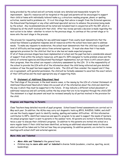being provided by the school and will certainly include very detailed and measurable targets for improvement. Specific resources will be targeted at the pupil and parents will be encouraged to support their child at home with individually tailored tasks e.g. a structure reading program, phonic or spelling activities, mental math's problems etc. It is at this stage that advice is sought from the External agencies, the Educational Psychologist or any other additional specialist service to enhance the provision being made by the school. Any recommendations will be noted and included/read in conjunction with the IEP, which is followed by all the staff involved with that child. After two review periods a decision is made regarding the next action to be taken – whether to return to the previous stage, to continue at the current stage or to move onto the next stage in the process.

The process for requesting funding for any additional support from county must demonstrate that the school has followed a graduated response and all resources within the school have been used to address needs. To make any requests to moderation, the school must demonstrate that the child has a significant level of difficulty and has sought advice from external agencies. It must also show that it has made appropriate provision for the child but that he or she has not made expected progress.

If all of these previous stages have been implemented at school and the pupil has had a considerable amount of support from within the school's resources, with specific IEP's designed to tackle problem areas and the advice of external agencies and Educational Psychologist implemented, but yet there is still concern about their progress, then the school can request a statutory assessment by the LEA. It is the responsibility of the school to provide the LEA with all of the information about the child being referred and give detailed evidence of how the pupil has been supported to date. The LEA will then consider the request and if they are in agreement, with parental permission, the child will be formally assessed to ascertain the exact nature of their difficulties and the most appropriate way of supporting them.

#### **3) Statement of Additional Educational Need**

The final stage of the process, in the most severe cases, is the issuing by the LEA of a formal Statement of Additional Educational Need which takes into account all of the information about the child and identifies the way in which they must be supported in the future. It may indicate a different school placement or additional resources and will certainly outline the key areas that are to be targeted through the child's IEP. The statement is a legal document and must be reviewed annually by all parties involved in the provision for the child.

#### **Progress and Reporting to Parents**

Class Teachers keep detailed records of pupil progress. School based formal assessments are carried out in May each year. In addition, the ALNco may carry out diagnostic tests eg BPVS, RAVENS, NARA, and staff can use the County support pack to identify reading, spelling and number difficulties. All this information contributes to IEP's, identified resources and specific program to be used to support the needs of learners. An annual progress report is sent to parents in the summer term. All parents are invited to Parents Evening twice a year to discuss their children's' progress. In addition to this parents are invited into school on a more regular basis if their child has been identified, as having an additional educational needs to discuss what action will be taken and to find out how they are progressing. In addition parents, are invited to review meetings with school staff and external agencies.

#### **More Able and Talented**

- **More Able and Talented** is the general term.
- Children may be **more able and/ or talented** in diverse fields (academic, creative, sporting, social, leadership);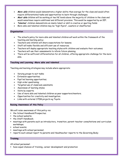- **More able** children would demonstrate a higher ability than average for the class and would often require differentiated tasks and opportunities to learn through challenges;
- **Most able** children will be working at two NC levels above the majority of children in the class and would sometimes require additional and different provision. This would be supported by an IEP;
- **Talented** children demonstrate an innate talent or skill in creative or sporting fields
- More able and talented children may be "high flyers", coasters or disaffected.

#### **Organisation**

- The school's policy for more able and talented children will work within the framework of the teaching and learning policy;
- Teachers and children will share expectations for lessons;
- Staff will make flexible and efficient use of resources;
- Teachers will deploy appropriate teaching styles with children and evaluate their outcomes;
- Teachers will use their assessments to inform future planning;
- There will be sufficient differentiation for all children, offering appropriate challenge for the more able.

#### **Teaching and Learning –More able and talented**

Teaching and learning strategies may include where appropriate:

- Varying groups to suit tasks;
- **Extension opportunities;**
- Pupil led learning opportunities;
- High order questioning;
- Targeted use of classroom assistants;
- Awareness of learning styles;
- Visits by experts;
- Use of more able and talented children as peer supporters/mentors.
- Opportunities for creativity and investigation.
- Links with external STEM projects eg Toyota

# **Raising Awareness of this Policy**

We will raise awareness of this policy via:

- the School Handbook/Prospectus;
- the school website;
- **the Staff Handbook;**
- meetings with parents such as introductory, transition, parent-teacher consultations and curriculum workshops;
- school events;
- meetings with school personnel;
- reports such annual report to parents and Headteacher reports to the Governing Body;

#### **Training**

All school personnel:

have equal chances of training, career development and promotion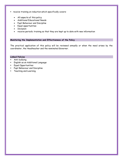- **PECE** receive training on induction which specifically covers:
	- All aspects of this policy
	- Additional Educational Needs
	- **Pupil Behaviour and Discipline**
	- Equal opportunities
	- Inclusion
	- receive periodic training so that they are kept up to date with new information

#### **Monitoring the Implementation and Effectiveness of the Policy**

The practical application of this policy will be reviewed annually or when the need arises by the coordinator, the Headteacher and the nominated Governor.

# **Linked Policies**

- Anti-bullying
- English as an Additional Language
- Equal Opportunities
- Pupil Behaviour and Discipline
- Teaching and Learning